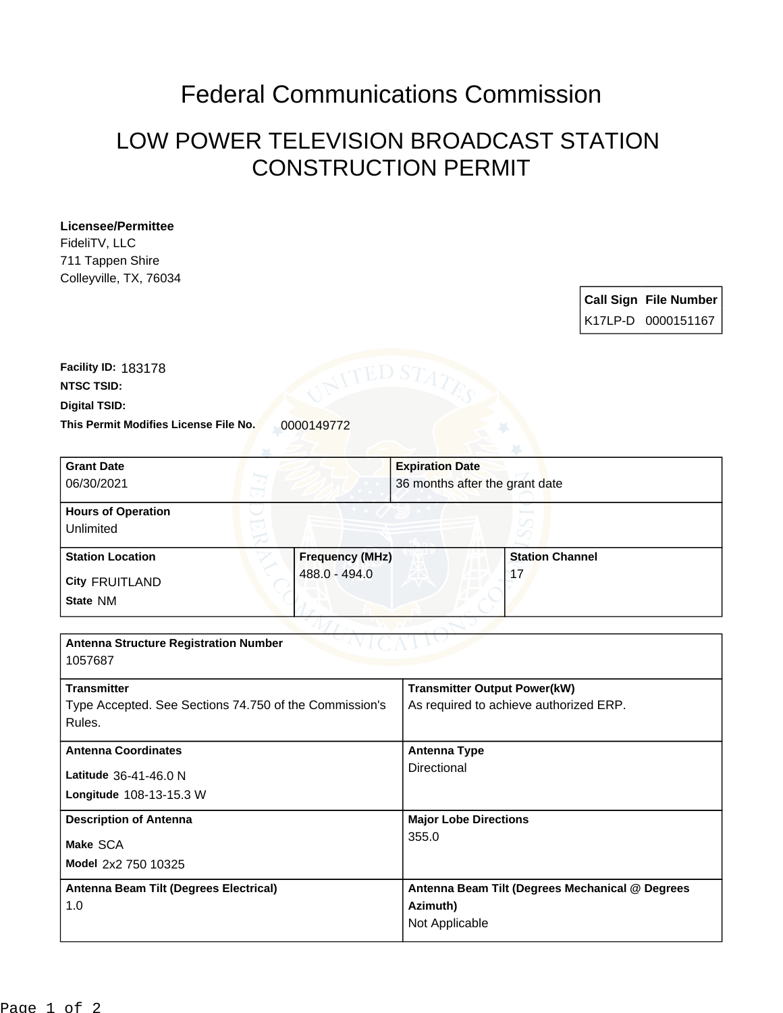## Federal Communications Commission

## LOW POWER TELEVISION BROADCAST STATION CONSTRUCTION PERMIT

## **Licensee/Permittee**

FideliTV, LLC 711 Tappen Shire Colleyville, TX, 76034

| <b>Call Sign File Number</b> |
|------------------------------|
| K17LP-D 0000151167           |

**This Permit Modifies License File No.** 0000149772 **Digital TSID: NTSC TSID: Facility ID:** 183178

| <b>Grant Date</b>                                      |                        | <b>Expiration Date</b>                 |                                                 |  |
|--------------------------------------------------------|------------------------|----------------------------------------|-------------------------------------------------|--|
| 06/30/2021                                             |                        | 36 months after the grant date         |                                                 |  |
|                                                        |                        |                                        |                                                 |  |
| <b>Hours of Operation</b>                              |                        |                                        |                                                 |  |
| Unlimited                                              |                        |                                        |                                                 |  |
| <b>Station Location</b>                                | <b>Frequency (MHz)</b> |                                        | <b>Station Channel</b>                          |  |
| <b>City FRUITLAND</b>                                  | 488.0 - 494.0          |                                        | 17                                              |  |
| State NM                                               |                        |                                        |                                                 |  |
|                                                        |                        |                                        |                                                 |  |
| <b>Antenna Structure Registration Number</b>           |                        |                                        |                                                 |  |
| 1057687                                                |                        |                                        |                                                 |  |
| <b>Transmitter</b>                                     |                        | <b>Transmitter Output Power(kW)</b>    |                                                 |  |
| Type Accepted. See Sections 74.750 of the Commission's |                        | As required to achieve authorized ERP. |                                                 |  |
| Rules.                                                 |                        |                                        |                                                 |  |
| <b>Antenna Coordinates</b>                             |                        | <b>Antenna Type</b>                    |                                                 |  |
| Latitude 36-41-46.0 N                                  |                        | Directional                            |                                                 |  |
| Longitude 108-13-15.3 W                                |                        |                                        |                                                 |  |
| <b>Description of Antenna</b>                          |                        | <b>Major Lobe Directions</b>           |                                                 |  |
| Make SCA                                               |                        | 355.0                                  |                                                 |  |
| Model 2x2 750 10325                                    |                        |                                        |                                                 |  |
| Antenna Beam Tilt (Degrees Electrical)                 |                        |                                        | Antenna Beam Tilt (Degrees Mechanical @ Degrees |  |
| 1.0                                                    |                        | Azimuth)                               |                                                 |  |
|                                                        |                        | Not Applicable                         |                                                 |  |